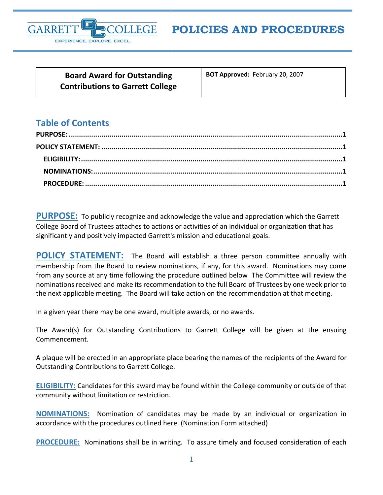

**Board Award for Outstanding Contributions to Garrett College** **BOT Approved:** February 20, 2007

## **Table of Contents**

<span id="page-0-0"></span>**PURPOSE:** To publicly recognize and acknowledge the value and appreciation which the Garrett College Board of Trustees attaches to actions or activities of an individual or organization that has significantly and positively impacted Garrett's mission and educational goals.

<span id="page-0-1"></span>**POLICY STATEMENT:** The Board will establish a three person committee annually with membership from the Board to review nominations, if any, for this award. Nominations may come from any source at any time following the procedure outlined below The Committee will review the nominations received and make its recommendation to the full Board of Trustees by one week prior to the next applicable meeting. The Board will take action on the recommendation at that meeting.

In a given year there may be one award, multiple awards, or no awards.

The Award(s) for Outstanding Contributions to Garrett College will be given at the ensuing Commencement.

A plaque will be erected in an appropriate place bearing the names of the recipients of the Award for Outstanding Contributions to Garrett College.

<span id="page-0-2"></span>**ELIGIBILITY:** Candidates for this award may be found within the College community or outside of that community without limitation or restriction.

<span id="page-0-3"></span>**NOMINATIONS:** Nomination of candidates may be made by an individual or organization in accordance with the procedures outlined here. (Nomination Form attached)

<span id="page-0-4"></span>**PROCEDURE:** Nominations shall be in writing. To assure timely and focused consideration of each